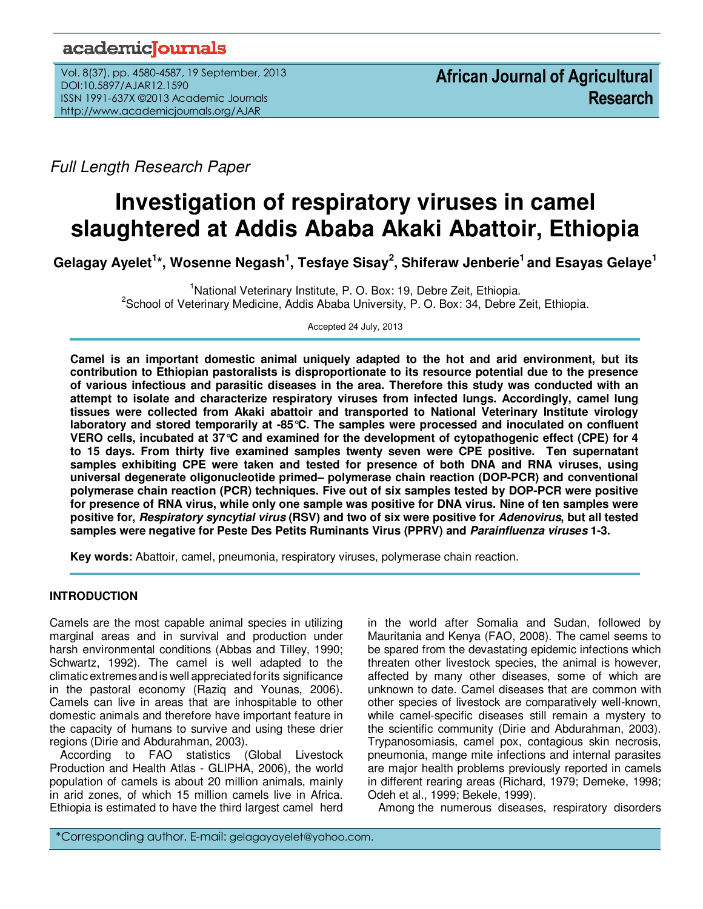# academicoournals

Vol. 8(37), pp. 4580-4587, 19 September, 2013 DOI:10.5897/AJAR12.1590 ISSN 1991-637X ©2013 Academic Journals http://www.academicjournals.org/AJAR

Full Length Research Paper

# **Investigation of respiratory viruses in camel slaughtered at Addis Ababa Akaki Abattoir, Ethiopia**

**Gelagay Ayelet<sup>1</sup> \*, Wosenne Negash<sup>1</sup> , Tesfaye Sisay<sup>2</sup> , Shiferaw Jenberie<sup>1</sup>and Esayas Gelaye<sup>1</sup>**

<sup>1</sup>National Veterinary Institute, P. O. Box: 19, Debre Zeit, Ethiopia. <sup>2</sup>School of Veterinary Medicine, Addis Ababa University, P. O. Box: 34, Debre Zeit, Ethiopia.

Accepted 24 July, 2013

**Camel is an important domestic animal uniquely adapted to the hot and arid environment, but its contribution to Ethiopian pastoralists is disproportionate to its resource potential due to the presence of various infectious and parasitic diseases in the area. Therefore this study was conducted with an attempt to isolate and characterize respiratory viruses from infected lungs. Accordingly, camel lung tissues were collected from Akaki abattoir and transported to National Veterinary Institute virology laboratory and stored temporarily at -85°C. The samples were processed and inoculated on confluent VERO cells, incubated at 37°C and examined for the development of cytopathogenic effect (CPE) for 4 to 15 days. From thirty five examined samples twenty seven were CPE positive. Ten supernatant samples exhibiting CPE were taken and tested for presence of both DNA and RNA viruses, using universal degenerate oligonucleotide primed– polymerase chain reaction (DOP-PCR) and conventional polymerase chain reaction (PCR) techniques. Five out of six samples tested by DOP-PCR were positive for presence of RNA virus, while only one sample was positive for DNA virus. Nine of ten samples were positive for, Respiratory syncytial virus (RSV) and two of six were positive for Adenovirus, but all tested samples were negative for Peste Des Petits Ruminants Virus (PPRV) and Parainfluenza viruses 1-3.** 

**Key words:** Abattoir, camel, pneumonia, respiratory viruses, polymerase chain reaction.

# **INTRODUCTION**

Camels are the most capable animal species in utilizing marginal areas and in survival and production under harsh environmental conditions (Abbas and Tilley, 1990; Schwartz, 1992). The camel is well adapted to the climatic extremesandis well appreciatedforits significance in the pastoral economy (Raziq and Younas, 2006). Camels can live in areas that are inhospitable to other domestic animals and therefore have important feature in the capacity of humans to survive and using these drier regions (Dirie and Abdurahman, 2003).

According to FAO statistics (Global Livestock Production and Health Atlas - GLIPHA, 2006), the world population of camels is about 20 million animals, mainly in arid zones, of which 15 million camels live in Africa. Ethiopia is estimated to have the third largest camel herd

in the world after Somalia and Sudan, followed by Mauritania and Kenya (FAO, 2008). The camel seems to be spared from the devastating epidemic infections which threaten other livestock species, the animal is however, affected by many other diseases, some of which are unknown to date. Camel diseases that are common with other species of livestock are comparatively well-known, while camel-specific diseases still remain a mystery to the scientific community (Dirie and Abdurahman, 2003). Trypanosomiasis, camel pox, contagious skin necrosis, pneumonia, mange mite infections and internal parasites are major health problems previously reported in camels in different rearing areas (Richard, 1979; Demeke, 1998; Odeh et al., 1999; Bekele, 1999).

Among the numerous diseases, respiratory disorders

\*Corresponding author. E-mail: gelagayayelet@yahoo.com.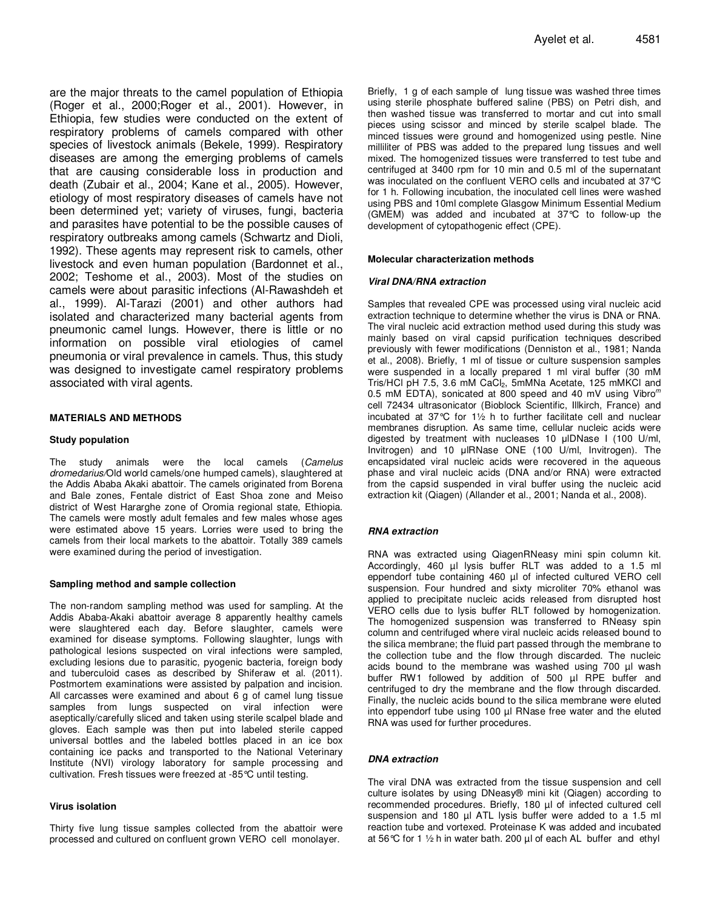are the major threats to the camel population of Ethiopia (Roger et al., 2000;Roger et al., 2001). However, in Ethiopia, few studies were conducted on the extent of respiratory problems of camels compared with other species of livestock animals (Bekele, 1999). Respiratory diseases are among the emerging problems of camels that are causing considerable loss in production and death (Zubair et al., 2004; Kane et al., 2005). However, etiology of most respiratory diseases of camels have not been determined yet; variety of viruses, fungi, bacteria and parasites have potential to be the possible causes of respiratory outbreaks among camels (Schwartz and Dioli, 1992). These agents may represent risk to camels, other livestock and even human population (Bardonnet et al., 2002; Teshome et al., 2003). Most of the studies on camels were about parasitic infections (Al-Rawashdeh et al., 1999). Al-Tarazi (2001) and other authors had isolated and characterized many bacterial agents from pneumonic camel lungs. However, there is little or no information on possible viral etiologies of camel pneumonia or viral prevalence in camels. Thus, this study was designed to investigate camel respiratory problems associated with viral agents.

#### **MATERIALS AND METHODS**

#### **Study population**

The study animals were the local camels (Camelus dromedarius/Old world camels/one humped camels), slaughtered at the Addis Ababa Akaki abattoir. The camels originated from Borena and Bale zones, Fentale district of East Shoa zone and Meiso district of West Hararghe zone of Oromia regional state, Ethiopia. The camels were mostly adult females and few males whose ages were estimated above 15 years. Lorries were used to bring the camels from their local markets to the abattoir. Totally 389 camels were examined during the period of investigation.

#### **Sampling method and sample collection**

The non-random sampling method was used for sampling. At the Addis Ababa-Akaki abattoir average 8 apparently healthy camels were slaughtered each day. Before slaughter, camels were examined for disease symptoms. Following slaughter, lungs with pathological lesions suspected on viral infections were sampled, excluding lesions due to parasitic, pyogenic bacteria, foreign body and tuberculoid cases as described by Shiferaw et al. (2011). Postmortem examinations were assisted by palpation and incision. All carcasses were examined and about 6 g of camel lung tissue samples from lungs suspected on viral infection were aseptically/carefully sliced and taken using sterile scalpel blade and gloves. Each sample was then put into labeled sterile capped universal bottles and the labeled bottles placed in an ice box containing ice packs and transported to the National Veterinary Institute (NVI) virology laboratory for sample processing and cultivation. Fresh tissues were freezed at -85°C until testing.

#### **Virus isolation**

Thirty five lung tissue samples collected from the abattoir were processed and cultured on confluent grown VERO cell monolayer.

Briefly, 1 g of each sample of lung tissue was washed three times using sterile phosphate buffered saline (PBS) on Petri dish, and then washed tissue was transferred to mortar and cut into small pieces using scissor and minced by sterile scalpel blade. The minced tissues were ground and homogenized using pestle. Nine milliliter of PBS was added to the prepared lung tissues and well mixed. The homogenized tissues were transferred to test tube and centrifuged at 3400 rpm for 10 min and 0.5 ml of the supernatant was inoculated on the confluent VERO cells and incubated at 37°C for 1 h. Following incubation, the inoculated cell lines were washed using PBS and 10ml complete Glasgow Minimum Essential Medium (GMEM) was added and incubated at 37°C to follow-up the development of cytopathogenic effect (CPE).

#### **Molecular characterization methods**

#### **Viral DNA/RNA extraction**

Samples that revealed CPE was processed using viral nucleic acid extraction technique to determine whether the virus is DNA or RNA. The viral nucleic acid extraction method used during this study was mainly based on viral capsid purification techniques described previously with fewer modifications (Denniston et al., 1981; Nanda et al., 2008). Briefly, 1 ml of tissue or culture suspension samples were suspended in a locally prepared 1 ml viral buffer (30 mM Tris/HCl pH 7.5, 3.6 mM CaCl2, 5mMNa Acetate, 125 mMKCl and 0.5 mM EDTA), sonicated at 800 speed and 40 mV using Vibro $<sup>m</sup>$ </sup> cell 72434 ultrasonicator (Bioblock Scientific, Illkirch, France) and incubated at 37°C for 1½ h to further facilitate cell and nuclear membranes disruption. As same time, cellular nucleic acids were digested by treatment with nucleases 10 μlDNase I (100 U/ml, Invitrogen) and 10 μlRNase ONE (100 U/ml, Invitrogen). The encapsidated viral nucleic acids were recovered in the aqueous phase and viral nucleic acids (DNA and/or RNA) were extracted from the capsid suspended in viral buffer using the nucleic acid extraction kit (Qiagen) (Allander et al., 2001; Nanda et al., 2008).

#### **RNA extraction**

RNA was extracted using QiagenRNeasy mini spin column kit. Accordingly, 460 µl lysis buffer RLT was added to a 1.5 ml eppendorf tube containing 460 µl of infected cultured VERO cell suspension. Four hundred and sixty microliter 70% ethanol was applied to precipitate nucleic acids released from disrupted host VERO cells due to lysis buffer RLT followed by homogenization. The homogenized suspension was transferred to RNeasy spin column and centrifuged where viral nucleic acids released bound to the silica membrane; the fluid part passed through the membrane to the collection tube and the flow through discarded. The nucleic acids bound to the membrane was washed using 700 µl wash buffer RW1 followed by addition of 500 µl RPE buffer and centrifuged to dry the membrane and the flow through discarded. Finally, the nucleic acids bound to the silica membrane were eluted into eppendorf tube using 100 µl RNase free water and the eluted RNA was used for further procedures.

#### **DNA extraction**

The viral DNA was extracted from the tissue suspension and cell culture isolates by using DNeasy® mini kit (Qiagen) according to recommended procedures. Briefly, 180 µl of infected cultured cell suspension and 180 µl ATL lysis buffer were added to a 1.5 ml reaction tube and vortexed. Proteinase K was added and incubated at 56 °C for 1  $\frac{1}{2}$  h in water bath. 200  $\mu$ l of each AL buffer and ethyl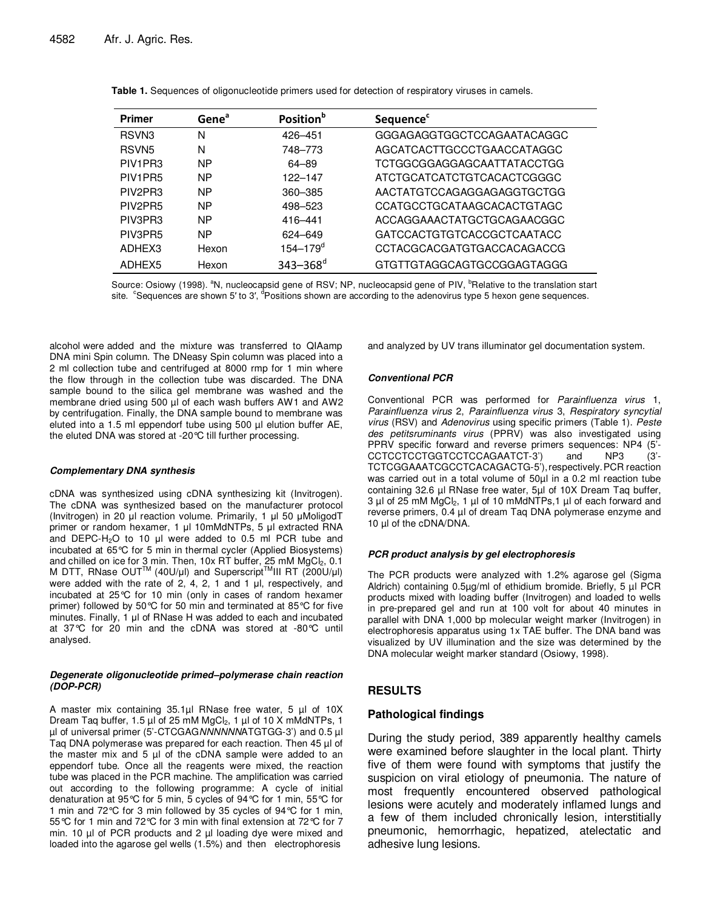| <b>Primer</b>                    | Gene <sup>a</sup> | Position <sup>b</sup>    | <b>Sequence</b> <sup>c</sup> |
|----------------------------------|-------------------|--------------------------|------------------------------|
| RSVN <sub>3</sub>                | N                 | 426-451                  | GGGAGAGGTGGCTCCAGAATACAGGC   |
| RSVN <sub>5</sub>                | N                 | 748-773                  | AGCATCACTTGCCCTGAACCATAGGC   |
| PIV <sub>1</sub> PR <sub>3</sub> | <b>NP</b>         | 64-89                    | TCTGGCGGAGGAGCAATTATACCTGG   |
| PIV <sub>1</sub> PR <sub>5</sub> | <b>NP</b>         | 122-147                  | ATCTGCATCATCTGTCACACTCGGGC   |
| PIV2PR3                          | <b>NP</b>         | 360-385                  | AACTATGTCCAGAGGAGAGGTGCTGG   |
| PIV2PR5                          | <b>NP</b>         | 498-523                  | CCATGCCTGCATAAGCACACTGTAGC   |
| PIV3PR3                          | <b>NP</b>         | 416-441                  | ACCAGGAAACTATGCTGCAGAACGGC   |
| PIV3PR5                          | <b>NP</b>         | 624-649                  | GATCCACTGTGTCACCGCTCAATACC   |
| ADHEX3                           | Hexon             | $154 - 179$ <sup>a</sup> | CCTACGCACGATGTGACCACAGACCG   |
| ADHEX5                           | Hexon             | $343 - 368$ <sup>d</sup> | GTGTTGTAGGCAGTGCCGGAGTAGGG   |

|  |  | Table 1. Sequences of oligonucleotide primers used for detection of respiratory viruses in camels. |  |  |
|--|--|----------------------------------------------------------------------------------------------------|--|--|
|  |  |                                                                                                    |  |  |

Source: Osiowy (1998). <sup>a</sup>N, nucleocapsid gene of RSV; NP, nucleocapsid gene of PIV, <sup>b</sup>Relative to the translation start site. Csequences are shown 5' to 3', <sup>a</sup>Positions shown are according to the adenovirus type 5 hexon gene sequences.

alcohol were added and the mixture was transferred to QIAamp DNA mini Spin column. The DNeasy Spin column was placed into a 2 ml collection tube and centrifuged at 8000 rmp for 1 min where the flow through in the collection tube was discarded. The DNA sample bound to the silica gel membrane was washed and the membrane dried using 500 µl of each wash buffers AW1 and AW2 by centrifugation. Finally, the DNA sample bound to membrane was eluted into a 1.5 ml eppendorf tube using 500 µl elution buffer AE, the eluted DNA was stored at -20°C till further processing.

#### **Complementary DNA synthesis**

cDNA was synthesized using cDNA synthesizing kit (Invitrogen). The cDNA was synthesized based on the manufacturer protocol (Invitrogen) in 20 μl reaction volume. Primarily, 1 μl 50 μMoligodT primer or random hexamer, 1 μl 10mMdNTPs, 5 μl extracted RNA and DEPC-H2O to 10 μl were added to 0.5 ml PCR tube and incubated at 65°C for 5 min in thermal cycler (Applied Biosystems) and chilled on ice for 3 min. Then, 10x RT buffer, 25 mM MgCl<sub>2</sub>, 0.1 M DTT, RNase OUT<sup>TM</sup> (40U/μl) and Superscript<sup>TM</sup>III RT (200U/μl) were added with the rate of 2, 4, 2, 1 and 1 μl, respectively, and incubated at 25°C for 10 min (only in cases of random hexamer primer) followed by 50°C for 50 min and terminated at 85°C for five minutes. Finally, 1 μl of RNase H was added to each and incubated at 37°C for 20 min and the cDNA was stored at -80°C until analysed.

#### **Degenerate oligonucleotide primed–polymerase chain reaction (DOP-PCR)**

A master mix containing 35.1µl RNase free water, 5 µl of 10X Dream Taq buffer, 1.5 µl of 25 mM MgCl<sub>2</sub>, 1 µl of 10 X mMdNTPs, 1 µl of universal primer (5'-CTCGAGNNNNNNATGTGG-3') and 0.5 µl Taq DNA polymerase was prepared for each reaction. Then 45 µl of the master mix and 5 µl of the cDNA sample were added to an eppendorf tube. Once all the reagents were mixed, the reaction tube was placed in the PCR machine. The amplification was carried out according to the following programme: A cycle of initial denaturation at 95°C for 5 min, 5 cycles of 94°C for 1 min, 55°C for 1 min and 72°C for 3 min followed by 35 cycles of 94°C for 1 min, 55°C for 1 min and 72°C for 3 min with final extension at 72°C for 7 min. 10 µl of PCR products and 2 µl loading dye were mixed and loaded into the agarose gel wells (1.5%) and then electrophoresis

and analyzed by UV trans illuminator gel documentation system.

#### **Conventional PCR**

Conventional PCR was performed for Parainfluenza virus 1, Parainfluenza virus 2, Parainfluenza virus 3, Respiratory syncytial virus (RSV) and Adenovirus using specific primers (Table 1). Peste des petitsruminants virus (PPRV) was also investigated using PPRV specific forward and reverse primers sequences: NP4 (5'- CCTCCTCCTGGTCCTCCAGAATCT-3') and NP3 (3'- TCTCGGAAATCGCCTCACAGACTG-5'),respectively.PCR reaction was carried out in a total volume of 50µl in a 0.2 ml reaction tube containing 32.6 µl RNase free water, 5µl of 10X Dream Taq buffer,  $3 \mu$ l of 25 mM MgCl<sub>2</sub>, 1  $\mu$ l of 10 mMdNTPs, 1  $\mu$ l of each forward and reverse primers, 0.4 µl of dream Taq DNA polymerase enzyme and 10 µl of the cDNA/DNA.

#### **PCR product analysis by gel electrophoresis**

The PCR products were analyzed with 1.2% agarose gel (Sigma Aldrich) containing 0.5µg/ml of ethidium bromide. Briefly, 5 µl PCR products mixed with loading buffer (Invitrogen) and loaded to wells in pre-prepared gel and run at 100 volt for about 40 minutes in parallel with DNA 1,000 bp molecular weight marker (Invitrogen) in electrophoresis apparatus using 1x TAE buffer. The DNA band was visualized by UV illumination and the size was determined by the DNA molecular weight marker standard (Osiowy, 1998).

# **RESULTS**

#### **Pathological findings**

During the study period, 389 apparently healthy camels were examined before slaughter in the local plant. Thirty five of them were found with symptoms that justify the suspicion on viral etiology of pneumonia. The nature of most frequently encountered observed pathological lesions were acutely and moderately inflamed lungs and a few of them included chronically lesion, interstitially pneumonic, hemorrhagic, hepatized, atelectatic and adhesive lung lesions.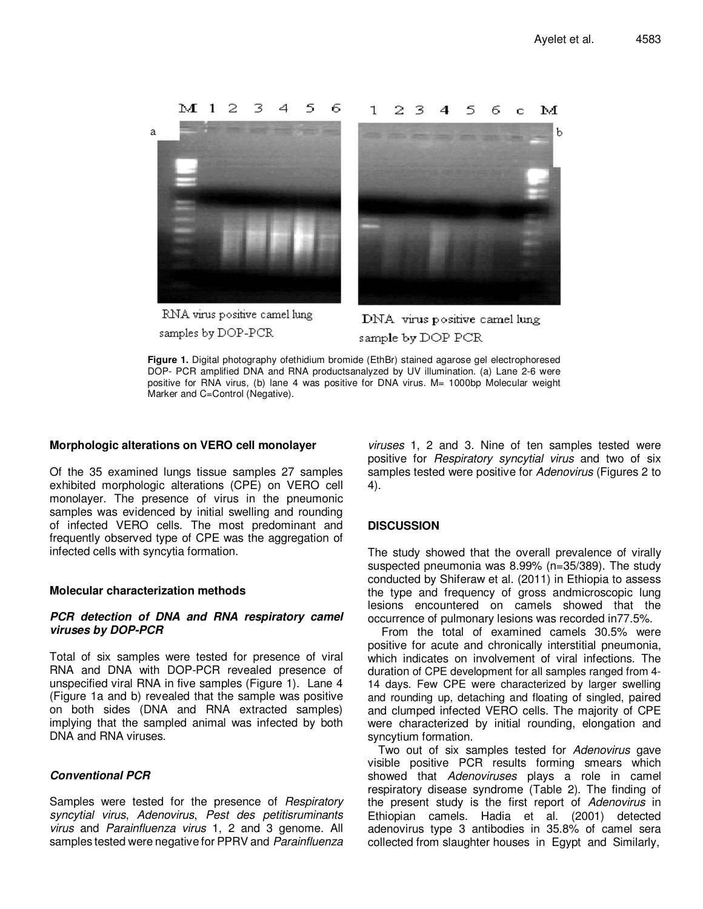

RNA virus positive camel lung samples by DOP-PCR

DNA virus positive camel lung sample by DOP PCR

**Figure 1.** Digital photography ofethidium bromide (EthBr) stained agarose gel electrophoresed DOP- PCR amplified DNA and RNA productsanalyzed by UV illumination. (a) Lane 2-6 were positive for RNA virus, (b) lane 4 was positive for DNA virus. M= 1000bp Molecular weight Marker and C=Control (Negative).

# **Morphologic alterations on VERO cell monolayer**

Of the 35 examined lungs tissue samples 27 samples exhibited morphologic alterations (CPE) on VERO cell monolayer. The presence of virus in the pneumonic samples was evidenced by initial swelling and rounding of infected VERO cells. The most predominant and frequently observed type of CPE was the aggregation of infected cells with syncytia formation.

# **Molecular characterization methods**

# **PCR detection of DNA and RNA respiratory camel viruses by DOP-PCR**

Total of six samples were tested for presence of viral RNA and DNA with DOP-PCR revealed presence of unspecified viral RNA in five samples (Figure 1). Lane 4 (Figure 1a and b) revealed that the sample was positive on both sides (DNA and RNA extracted samples) implying that the sampled animal was infected by both DNA and RNA viruses.

# **Conventional PCR**

Samples were tested for the presence of Respiratory syncytial virus, Adenovirus, Pest des petitisruminants virus and Parainfluenza virus 1, 2 and 3 genome. All samples tested were negative for PPRV and Parainfluenza

viruses 1, 2 and 3. Nine of ten samples tested were positive for Respiratory syncytial virus and two of six samples tested were positive for Adenovirus (Figures 2 to 4).

# **DISCUSSION**

The study showed that the overall prevalence of virally suspected pneumonia was 8.99% (n=35/389). The study conducted by Shiferaw et al. (2011) in Ethiopia to assess the type and frequency of gross andmicroscopic lung lesions encountered on camels showed that the occurrence of pulmonary lesions was recorded in77.5%.

 From the total of examined camels 30.5% were positive for acute and chronically interstitial pneumonia, which indicates on involvement of viral infections. The duration of CPE development for all samples ranged from 4- 14 days. Few CPE were characterized by larger swelling and rounding up, detaching and floating of singled, paired and clumped infected VERO cells. The majority of CPE were characterized by initial rounding, elongation and syncytium formation.

Two out of six samples tested for Adenovirus gave visible positive PCR results forming smears which showed that Adenoviruses plays a role in camel respiratory disease syndrome (Table 2). The finding of the present study is the first report of Adenovirus in Ethiopian camels. Hadia et al. (2001) detected adenovirus type 3 antibodies in 35.8% of camel sera collected from slaughter houses in Egypt and Similarly,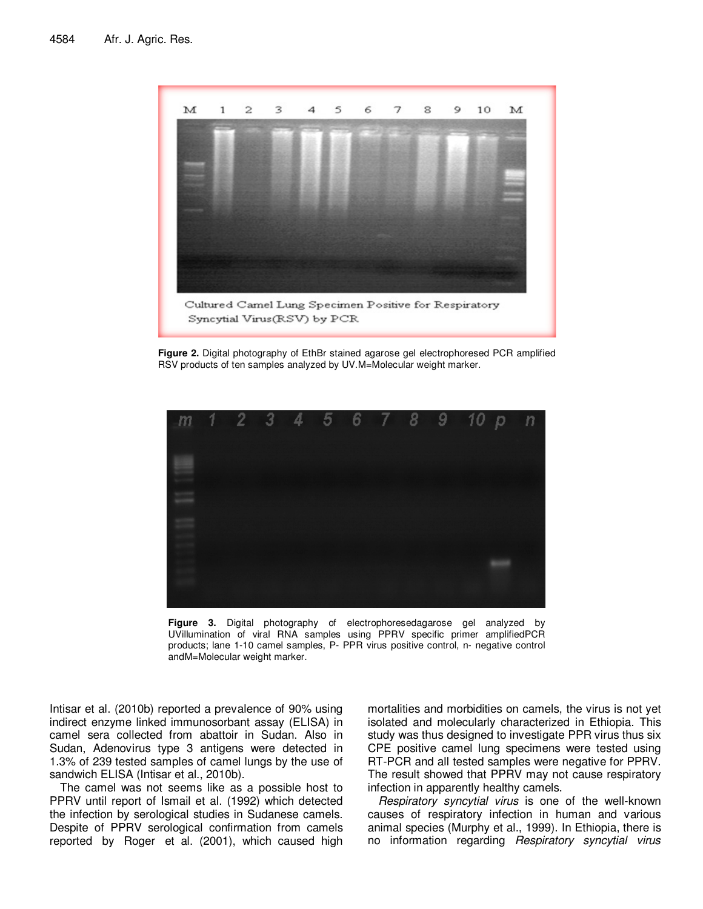

**Figure 2.** Digital photography of EthBr stained agarose gel electrophoresed PCR amplified RSV products of ten samples analyzed by UV.M=Molecular weight marker.



**Figure 3.** Digital photography of electrophoresedagarose gel analyzed by UVillumination of viral RNA samples using PPRV specific primer amplifiedPCR products; lane 1-10 camel samples, P- PPR virus positive control, n- negative control andM=Molecular weight marker.

Intisar et al. (2010b) reported a prevalence of 90% using indirect enzyme linked immunosorbant assay (ELISA) in camel sera collected from abattoir in Sudan. Also in Sudan, Adenovirus type 3 antigens were detected in 1.3% of 239 tested samples of camel lungs by the use of sandwich ELISA (Intisar et al., 2010b).

The camel was not seems like as a possible host to PPRV until report of Ismail et al. (1992) which detected the infection by serological studies in Sudanese camels. Despite of PPRV serological confirmation from camels reported by Roger et al. (2001), which caused high

mortalities and morbidities on camels, the virus is not yet isolated and molecularly characterized in Ethiopia. This study was thus designed to investigate PPR virus thus six CPE positive camel lung specimens were tested using RT-PCR and all tested samples were negative for PPRV. The result showed that PPRV may not cause respiratory infection in apparently healthy camels.

Respiratory syncytial virus is one of the well-known causes of respiratory infection in human and various animal species (Murphy et al., 1999). In Ethiopia, there is no information regarding Respiratory syncytial virus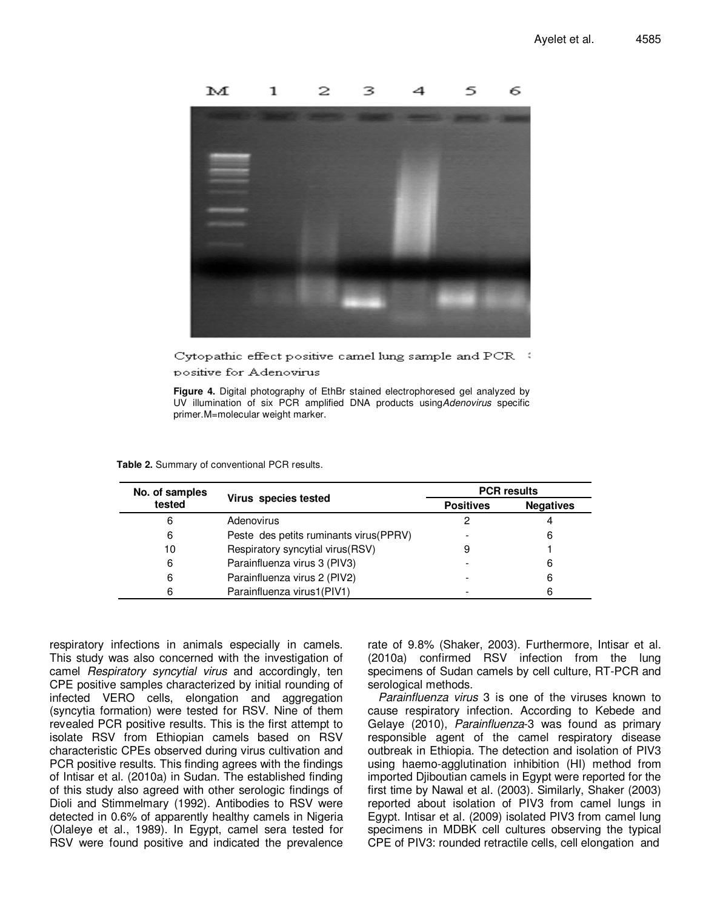

 $\rm Cyt$ opathic effect positive camel lung sample and  $\rm PCR$  .  $\rm C$ positive for Adenovirus

**Figure 4.** Digital photography of EthBr stained electrophoresed gel analyzed by UV illumination of six PCR amplified DNA products usingAdenovirus specific primer.M=molecular weight marker.

| No. of samples |                                         | <b>PCR</b> results |                  |  |
|----------------|-----------------------------------------|--------------------|------------------|--|
| tested         | Virus species tested                    | <b>Positives</b>   | <b>Negatives</b> |  |
| 6              | Adenovirus                              |                    |                  |  |
| 6              | Peste des petits ruminants virus (PPRV) |                    | 6                |  |
| 10             | Respiratory syncytial virus (RSV)       |                    |                  |  |
| 6              | Parainfluenza virus 3 (PIV3)            |                    | 6                |  |
| 6              | Parainfluenza virus 2 (PIV2)            |                    | 6                |  |
| 6              | Parainfluenza virus1(PIV1)              |                    | 6                |  |

**Table 2.** Summary of conventional PCR results.

respiratory infections in animals especially in camels. This study was also concerned with the investigation of camel Respiratory syncytial virus and accordingly, ten CPE positive samples characterized by initial rounding of infected VERO cells, elongation and aggregation (syncytia formation) were tested for RSV. Nine of them revealed PCR positive results. This is the first attempt to isolate RSV from Ethiopian camels based on RSV characteristic CPEs observed during virus cultivation and PCR positive results. This finding agrees with the findings of Intisar et al. (2010a) in Sudan. The established finding of this study also agreed with other serologic findings of Dioli and Stimmelmary (1992). Antibodies to RSV were detected in 0.6% of apparently healthy camels in Nigeria (Olaleye et al., 1989). In Egypt, camel sera tested for RSV were found positive and indicated the prevalence

rate of 9.8% (Shaker, 2003). Furthermore, Intisar et al. (2010a) confirmed RSV infection from the lung specimens of Sudan camels by cell culture, RT-PCR and serological methods.

Parainfluenza virus 3 is one of the viruses known to cause respiratory infection. According to Kebede and Gelaye (2010), Parainfluenza-3 was found as primary responsible agent of the camel respiratory disease outbreak in Ethiopia. The detection and isolation of PIV3 using haemo-agglutination inhibition (HI) method from imported Djiboutian camels in Egypt were reported for the first time by Nawal et al. (2003). Similarly, Shaker (2003) reported about isolation of PIV3 from camel lungs in Egypt. Intisar et al. (2009) isolated PIV3 from camel lung specimens in MDBK cell cultures observing the typical CPE of PIV3: rounded retractile cells, cell elongation and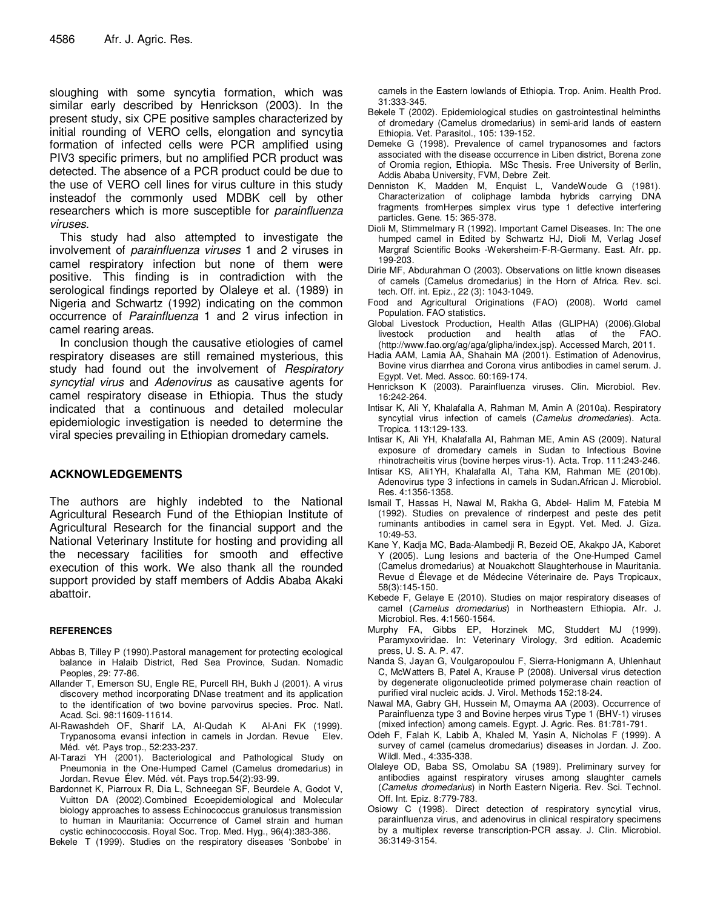sloughing with some syncytia formation, which was similar early described by Henrickson (2003). In the present study, six CPE positive samples characterized by initial rounding of VERO cells, elongation and syncytia formation of infected cells were PCR amplified using PIV3 specific primers, but no amplified PCR product was detected. The absence of a PCR product could be due to the use of VERO cell lines for virus culture in this study insteadof the commonly used MDBK cell by other researchers which is more susceptible for *parainfluenza* viruses.

This study had also attempted to investigate the involvement of parainfluenza viruses 1 and 2 viruses in camel respiratory infection but none of them were positive. This finding is in contradiction with the serological findings reported by Olaleye et al. (1989) in Nigeria and Schwartz (1992) indicating on the common occurrence of Parainfluenza 1 and 2 virus infection in camel rearing areas.

In conclusion though the causative etiologies of camel respiratory diseases are still remained mysterious, this study had found out the involvement of Respiratory syncytial virus and Adenovirus as causative agents for camel respiratory disease in Ethiopia. Thus the study indicated that a continuous and detailed molecular epidemiologic investigation is needed to determine the viral species prevailing in Ethiopian dromedary camels.

# **ACKNOWLEDGEMENTS**

The authors are highly indebted to the National Agricultural Research Fund of the Ethiopian Institute of Agricultural Research for the financial support and the National Veterinary Institute for hosting and providing all the necessary facilities for smooth and effective execution of this work. We also thank all the rounded support provided by staff members of Addis Ababa Akaki abattoir.

# **REFERENCES**

- Abbas B, Tilley P (1990).Pastoral management for protecting ecological balance in Halaib District, Red Sea Province, Sudan. Nomadic Peoples, 29: 77-86.
- Allander T, Emerson SU, Engle RE, Purcell RH, Bukh J (2001). A virus discovery method incorporating DNase treatment and its application to the identification of two bovine parvovirus species. Proc. Natl. Acad. Sci. 98:11609-11614.
- Al-Rawashdeh OF, Sharif LA, Al-Qudah K Al-Ani FK (1999). Trypanosoma evansi infection in camels in Jordan. Revue Elev. Méd. vét. Pays trop., 52:233-237.
- Al-Tarazi YH (2001). Bacteriological and Pathological Study on Pneumonia in the One-Humped Camel (Camelus dromedarius) in Jordan. Revue Élev. Méd. vét. Pays trop.54(2):93-99.
- Bardonnet K, Piarroux R, Dia L, Schneegan SF, Beurdele A, Godot V, Vuitton DA (2002).Combined Ecoepidemiological and Molecular biology approaches to assess Echinococcus granulosus transmission to human in Mauritania: Occurrence of Camel strain and human cystic echinococcosis. Royal Soc. Trop. Med. Hyg., 96(4):383-386.

Bekele T (1999). Studies on the respiratory diseases 'Sonbobe' in

camels in the Eastern lowlands of Ethiopia. Trop. Anim. Health Prod. 31:333-345.

- Bekele T (2002). Epidemiological studies on gastrointestinal helminths of dromedary (Camelus dromedarius) in semi-arid lands of eastern Ethiopia. Vet. Parasitol., 105: 139-152.
- Demeke G (1998). Prevalence of camel trypanosomes and factors associated with the disease occurrence in Liben district, Borena zone of Oromia region, Ethiopia. MSc Thesis. Free University of Berlin, Addis Ababa University, FVM, Debre Zeit.
- Denniston K, Madden M, Enquist L, VandeWoude G (1981). Characterization of coliphage lambda hybrids carrying DNA fragments fromHerpes simplex virus type 1 defective interfering particles. Gene. 15: 365-378.
- Dioli M, Stimmelmary R (1992). Important Camel Diseases. In: The one humped camel in Edited by Schwartz HJ, Dioli M, Verlag Josef Margraf Scientific Books -Wekersheim-F-R-Germany. East. Afr. pp. 199-203.
- Dirie MF, Abdurahman O (2003). Observations on little known diseases of camels (Camelus dromedarius) in the Horn of Africa. Rev. sci. tech. Off. int. Epiz., 22 (3): 1043-1049.
- Food and Agricultural Originations (FAO) (2008). World camel Population. FAO statistics.
- Global Livestock Production, Health Atlas (GLIPHA) (2006).Global livestock production and health atlas of the FAO. (http://www.fao.org/ag/aga/glipha/index.jsp). Accessed March, 2011.
- Hadia AAM, Lamia AA, Shahain MA (2001). Estimation of Adenovirus, Bovine virus diarrhea and Corona virus antibodies in camel serum. J. Egypt. Vet. Med. Assoc. 60:169-174.
- Henrickson K (2003). Parainfluenza viruses. Clin. Microbiol. Rev. 16:242-264.
- Intisar K, Ali Y, Khalafalla A, Rahman M, Amin A (2010a). Respiratory syncytial virus infection of camels (Camelus dromedaries). Acta. Tropica. 113:129-133.
- Intisar K, Ali YH, Khalafalla AI, Rahman ME, Amin AS (2009). Natural exposure of dromedary camels in Sudan to Infectious Bovine rhinotracheitis virus (bovine herpes virus-1). Acta. Trop. 111:243-246.
- Intisar KS, Ali1YH, Khalafalla AI, Taha KM, Rahman ME (2010b). Adenovirus type 3 infections in camels in Sudan.African J. Microbiol. Res. 4:1356-1358.
- Ismail T, Hassas H, Nawal M, Rakha G, Abdel- Halim M, Fatebia M (1992). Studies on prevalence of rinderpest and peste des petit ruminants antibodies in camel sera in Egypt. Vet. Med. J. Giza. 10:49-53.
- Kane Y, Kadja MC, Bada-Alambedji R, Bezeid OE, Akakpo JA, Kaboret Y (2005). Lung lesions and bacteria of the One-Humped Camel (Camelus dromedarius) at Nouakchott Slaughterhouse in Mauritania. Revue d Élevage et de Médecine Véterinaire de. Pays Tropicaux, 58(3):145-150.
- Kebede F, Gelaye E (2010). Studies on major respiratory diseases of camel (Camelus dromedarius) in Northeastern Ethiopia. Afr. J. Microbiol. Res. 4:1560-1564.
- Murphy FA, Gibbs EP, Horzinek MC, Studdert MJ (1999). Paramyxoviridae. In: Veterinary Virology, 3rd edition. Academic press, U. S. A. P. 47.
- Nanda S, Jayan G, Voulgaropoulou F, Sierra-Honigmann A, Uhlenhaut C, McWatters B, Patel A, Krause P (2008). Universal virus detection by degenerate oligonucleotide primed polymerase chain reaction of purified viral nucleic acids. J. Virol. Methods 152:18-24.
- Nawal MA, Gabry GH, Hussein M, Omayma AA (2003). Occurrence of Parainfluenza type 3 and Bovine herpes virus Type 1 (BHV-1) viruses (mixed infection) among camels. Egypt. J. Agric. Res. 81:781-791.
- Odeh F, Falah K, Labib A, Khaled M, Yasin A, Nicholas F (1999). A survey of camel (camelus dromedarius) diseases in Jordan. J. Zoo. Wildl. Med., 4:335-338.
- Olaleye OD, Baba SS, Omolabu SA (1989). Preliminary survey for antibodies against respiratory viruses among slaughter camels (Camelus dromedarius) in North Eastern Nigeria. Rev. Sci. Technol. Off. Int. Epiz. 8:779-783.
- Osiowy C (1998). Direct detection of respiratory syncytial virus, parainfluenza virus, and adenovirus in clinical respiratory specimens by a multiplex reverse transcription-PCR assay. J. Clin. Microbiol. 36:3149-3154.